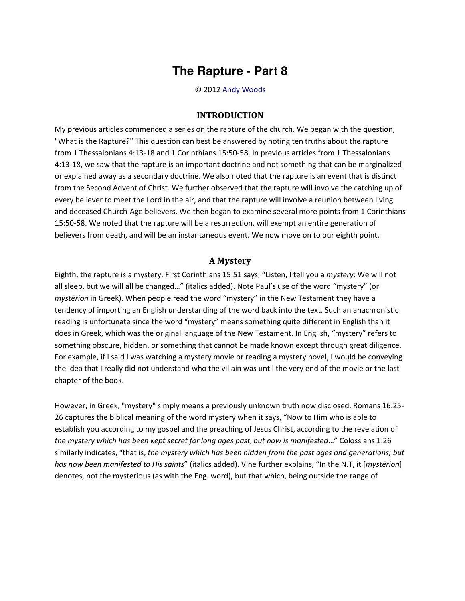## **The Rapture - Part 8**

© 2012 [Andy Woods](http://www.spiritandtruth.org/id/aw.htm)

## **INTRODUCTION**

My previous articles commenced a series on the rapture of the church. We began with the question, "What is the Rapture?" This question can best be answered by noting ten truths about the rapture from 1 Thessalonians 4:13-18 and 1 Corinthians 15:50-58. In previous articles from 1 Thessalonians 4:13-18, we saw that the rapture is an important doctrine and not something that can be marginalized or explained away as a secondary doctrine. We also noted that the rapture is an event that is distinct from the Second Advent of Christ. We further observed that the rapture will involve the catching up of every believer to meet the Lord in the air, and that the rapture will involve a reunion between living and deceased Church-Age believers. We then began to examine several more points from 1 Corinthians 15:50-58. We noted that the rapture will be a resurrection, will exempt an entire generation of believers from death, and will be an instantaneous event. We now move on to our eighth point.

## **A Mystery**

Eighth, the rapture is a mystery. First Corinthians 15:51 says, "Listen, I tell you a *mystery*: We will not all sleep, but we will all be changed..." (italics added). Note Paul's use of the word "mystery" (or *mystērion* in Greek). When people read the word "mystery" in the New Testament they have a tendency of importing an English understanding of the word back into the text. Such an anachronistic reading is unfortunate since the word "mystery" means something quite different in English than it does in Greek, which was the original language of the New Testament. In English, "mystery" refers to something obscure, hidden, or something that cannot be made known except through great diligence. For example, if I said I was watching a mystery movie or reading a mystery novel, I would be conveying the idea that I really did not understand who the villain was until the very end of the movie or the last chapter of the book.

However, in Greek, "mystery" simply means a previously unknown truth now disclosed. Romans 16:25- 26 captures the biblical meaning of the word mystery when it says, "Now to Him who is able to establish you according to my gospel and the preaching of Jesus Christ, according to the revelation of *the mystery which has been kept secret for long ages past, but now is manifested..."* Colossians 1:26 similarly indicates, "that is, *the mystery which has been hidden from the past ages and generations; but has now been manifested to His saints*<sup>*''*</sup> (italics added). Vine further explains, "In the N.T, it [*mystērion*] denotes, not the mysterious (as with the Eng. word), but that which, being outside the range of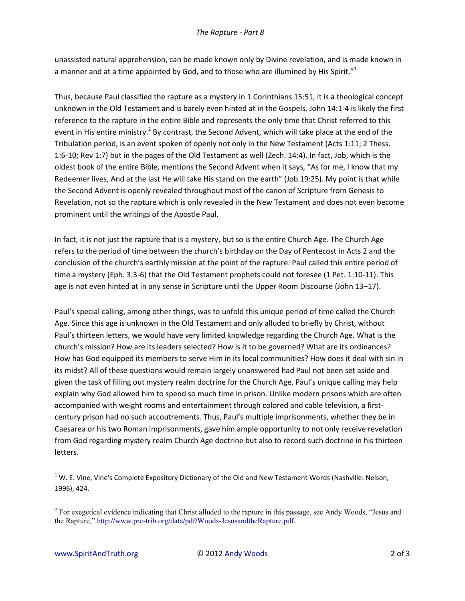unassisted natural apprehension, can be made known only by Divine revelation, and is made known in a manner and at a time appointed by God, and to those who are illumined by His Spirit."<sup>1</sup>

Thus, because Paul classified the rapture as a mystery in 1 Corinthians 15:51, it is a theological concept unknown in the Old Testament and is barely even hinted at in the Gospels. John 14:1-4 is likely the first reference to the rapture in the entire Bible and represents the only time that Christ referred to this event in His entire ministry.<sup>2</sup> By contrast, the Second Advent, which will take place at the end of the Tribulation period, is an event spoken of openly not only in the New Testament (Acts 1:11; 2 Thess. 1:6-10; Rev 1:7) but in the pages of the Old Testament as well (Zech. 14:4). In fact, Job, which is the oldest book of the entire Bible, mentions the Second Advent when it says, "As for me, I know that my Redeemer lives, And at the last He will take His stand on the earth" (Job 19:25). My point is that while the Second Advent is openly revealed throughout most of the canon of Scripture from Genesis to Revelation, not so the rapture which is only revealed in the New Testament and does not even become prominent until the writings of the Apostle Paul.

In fact, it is not just the rapture that is a mystery, but so is the entire Church Age. The Church Age refers to the period of time between the church's birthday on the Day of Pentecost in Acts 2 and the conclusion of the church's earthly mission at the point of the rapture. Paul called this entire period of time a mystery (Eph. 3:3-6) that the Old Testament prophets could not foresee (1 Pet. 1:10-11). This age is not even hinted at in any sense in Scripture until the Upper Room Discourse (John 13-17).

Paul's special calling, among other things, was to unfold this unique period of time called the Church Age. Since this age is unknown in the Old Testament and only alluded to briefly by Christ, without Paul's thirteen letters, we would have very limited knowledge regarding the Church Age. What is the church's mission? How are its leaders selected? How is it to be governed? What are its ordinances? How has God equipped its members to serve Him in its local communities? How does it deal with sin in its midst? All of these questions would remain largely unanswered had Paul not been set aside and given the task of filling out mystery realm doctrine for the Church Age. Paul's unique calling may help explain why God allowed him to spend so much time in prison. Unlike modern prisons which are often accompanied with weight rooms and entertainment through colored and cable television, a firstcentury prison had no such accoutrements. Thus, Paul's multiple imprisonments, whether they be in Caesarea or his two Roman imprisonments, gave him ample opportunity to not only receive revelation from God regarding mystery realm Church Age doctrine but also to record such doctrine in his thirteen letters.

 $1$  W. E. Vine, Vine's Complete Expository Dictionary of the Old and New Testament Words (Nashville: Nelson, 1996), 424.

<sup>&</sup>lt;sup>2</sup> For exegetical evidence indicating that Christ alluded to the rapture in this passage, see Andy Woods, "Jesus and the Rapture," http://www.pre-trib.org/data/pdf/Woods-JesusandtheRapture.pdf.